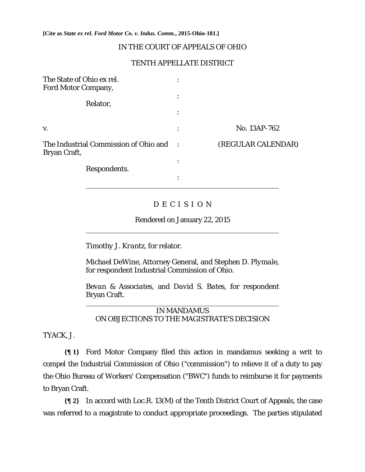**[Cite as** *State ex rel. Ford Motor Co. v. Indus. Comm.***, 2015-Ohio-181.]**

## IN THE COURT OF APPEALS OF OHIO

## TENTH APPELLATE DISTRICT

| The State of Ohio ex rel.<br>Ford Motor Company,      | ٠              |                    |
|-------------------------------------------------------|----------------|--------------------|
| Relator,                                              | $\ddot{\cdot}$ |                    |
|                                                       | $\bullet$      |                    |
| V.                                                    | ٠<br>$\bullet$ | No. 13AP-762       |
| The Industrial Commission of Ohio and<br>Bryan Craft, | $\sim$ :       | (REGULAR CALENDAR) |
|                                                       |                |                    |
| Respondents.                                          | ٠<br>$\bullet$ |                    |

# D E C I S I O N

Rendered on January 22, 2015

*Timothy J. Krantz,* for relator.

*Michael DeWine*, Attorney General, and *Stephen D. Plymale,*  for respondent Industrial Commission of Ohio.

*Bevan & Associates,* and *David S. Bates,* for respondent Bryan Craft.

IN MANDAMUS ON OBJECTIONS TO THE MAGISTRATE'S DECISION

TYACK, J.

 $\overline{a}$ 

**{¶ 1}** Ford Motor Company filed this action in mandamus seeking a writ to compel the Industrial Commission of Ohio ("commission") to relieve it of a duty to pay the Ohio Bureau of Workers' Compensation ("BWC") funds to reimburse it for payments to Bryan Craft.

**{¶ 2}** In accord with Loc.R. 13(M) of the Tenth District Court of Appeals, the case was referred to a magistrate to conduct appropriate proceedings. The parties stipulated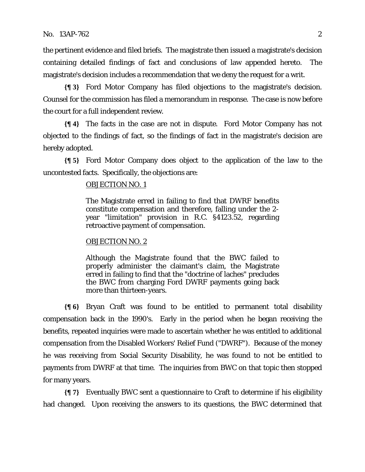the pertinent evidence and filed briefs. The magistrate then issued a magistrate's decision containing detailed findings of fact and conclusions of law appended hereto. The magistrate's decision includes a recommendation that we deny the request for a writ.

**{¶ 3}** Ford Motor Company has filed objections to the magistrate's decision. Counsel for the commission has filed a memorandum in response. The case is now before the court for a full independent review.

**{¶ 4}** The facts in the case are not in dispute. Ford Motor Company has not objected to the findings of fact, so the findings of fact in the magistrate's decision are hereby adopted.

**{¶ 5}** Ford Motor Company does object to the application of the law to the uncontested facts. Specifically, the objections are:

#### OBJECTION NO. 1

The Magistrate erred in failing to find that DWRF benefits constitute compensation and therefore, falling under the 2 year "limitation" provision in R.C. §4123.52, regarding retroactive payment of compensation.

#### OBJECTION NO. 2

Although the Magistrate found that the BWC failed to properly administer the claimant's claim, the Magistrate erred in failing to find that the "doctrine of laches" precludes the BWC from charging Ford DWRF payments going back more than thirteen-years.

**{¶ 6}** Bryan Craft was found to be entitled to permanent total disability compensation back in the 1990's. Early in the period when he began receiving the benefits, repeated inquiries were made to ascertain whether he was entitled to additional compensation from the Disabled Workers' Relief Fund ("DWRF"). Because of the money he was receiving from Social Security Disability, he was found to not be entitled to payments from DWRF at that time. The inquiries from BWC on that topic then stopped for many years.

**{¶ 7}** Eventually BWC sent a questionnaire to Craft to determine if his eligibility had changed. Upon receiving the answers to its questions, the BWC determined that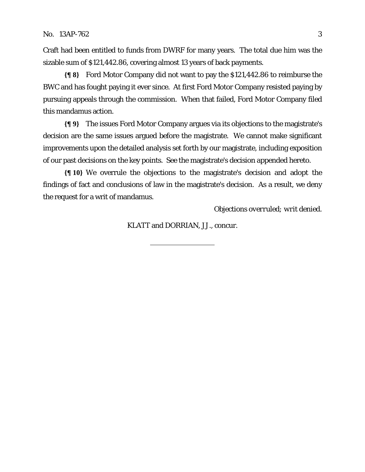Craft had been entitled to funds from DWRF for many years. The total due him was the sizable sum of \$121,442.86, covering almost 13 years of back payments.

**{¶ 8}** Ford Motor Company did not want to pay the \$121,442.86 to reimburse the BWC and has fought paying it ever since. At first Ford Motor Company resisted paying by pursuing appeals through the commission. When that failed, Ford Motor Company filed this mandamus action.

**{¶ 9}** The issues Ford Motor Company argues via its objections to the magistrate's decision are the same issues argued before the magistrate. We cannot make significant improvements upon the detailed analysis set forth by our magistrate, including exposition of our past decisions on the key points. See the magistrate's decision appended hereto.

**{¶ 10}** We overrule the objections to the magistrate's decision and adopt the findings of fact and conclusions of law in the magistrate's decision. As a result, we deny the request for a writ of mandamus.

*Objections overruled; writ denied.* 

KLATT and DORRIAN, JJ., concur.

l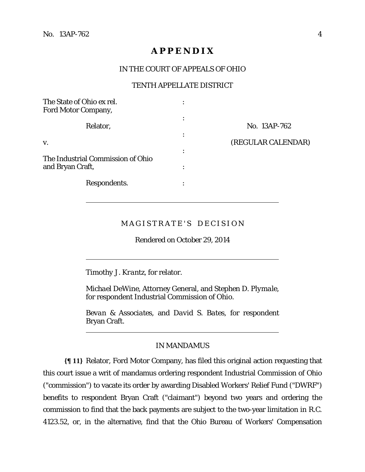$\overline{a}$ 

 $\overline{a}$ 

 $\overline{a}$ 

# **A P P E N D I X**

## IN THE COURT OF APPEALS OF OHIO

### TENTH APPELLATE DISTRICT

| The State of Ohio ex rel.<br><b>Ford Motor Company,</b> |                |                    |
|---------------------------------------------------------|----------------|--------------------|
| Relator,                                                | ٠<br>$\bullet$ | No. 13AP-762       |
| V.                                                      |                | (REGULAR CALENDAR) |
| The Industrial Commission of Ohio                       | $\bullet$      |                    |
| and Bryan Craft,                                        | ٠              |                    |
| Respondents.                                            | ٠              |                    |

# MAGISTRATE'S DECISION

Rendered on October 29, 2014

*Timothy J. Krantz,* for relator.

*Michael DeWine*, Attorney General, and *Stephen D. Plymale,*  for respondent Industrial Commission of Ohio.

*Bevan & Associates,* and *David S. Bates,* for respondent Bryan Craft.

## IN MANDAMUS

**{¶ 11}** Relator, Ford Motor Company, has filed this original action requesting that this court issue a writ of mandamus ordering respondent Industrial Commission of Ohio ("commission") to vacate its order by awarding Disabled Workers' Relief Fund ("DWRF") benefits to respondent Bryan Craft ("claimant") beyond two years and ordering the commission to find that the back payments are subject to the two-year limitation in R.C. 4123.52, or, in the alternative, find that the Ohio Bureau of Workers' Compensation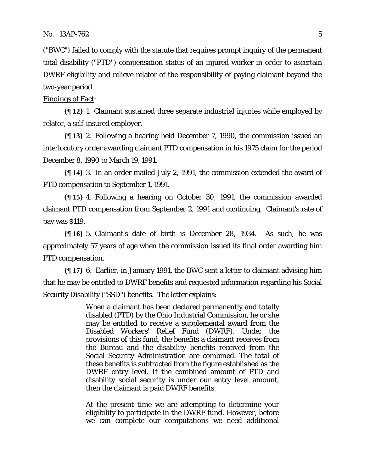("BWC") failed to comply with the statute that requires prompt inquiry of the permanent total disability ("PTD") compensation status of an injured worker in order to ascertain DWRF eligibility and relieve relator of the responsibility of paying claimant beyond the two-year period.

### Findings of Fact:

**{¶ 12}** 1. Claimant sustained three separate industrial injuries while employed by relator, a self-insured employer.

**{¶ 13}** 2. Following a hearing held December 7, 1990, the commission issued an interlocutory order awarding claimant PTD compensation in his 1975 claim for the period December 8, 1990 to March 19, 1991.

**{¶ 14}** 3. In an order mailed July 2, 1991, the commission extended the award of PTD compensation to September 1, 1991.

**{¶ 15}** 4. Following a hearing on October 30, 1991, the commission awarded claimant PTD compensation from September 2, 1991 and continuing. Claimant's rate of pay was \$119.

**{¶ 16}** 5. Claimant's date of birth is December 28, 1934. As such, he was approximately 57 years of age when the commission issued its final order awarding him PTD compensation.

**{¶ 17}** 6. Earlier, in January 1991, the BWC sent a letter to claimant advising him that he may be entitled to DWRF benefits and requested information regarding his Social Security Disability ("SSD") benefits. The letter explains:

> When a claimant has been declared permanently and totally disabled (PTD) by the Ohio Industrial Commission, he or she may be entitled to receive a supplemental award from the Disabled Workers' Relief Fund (DWRF). Under the provisions of this fund, the benefits a claimant receives from the Bureau and the disability benefits received from the Social Security Administration are combined. The total of these benefits is subtracted from the figure established as the DWRF entry level. If the combined amount of PTD and disability social security is under our entry level amount, then the claimant is paid DWRF benefits.

> At the present time we are attempting to determine your eligibility to participate in the DWRF fund. However, before we can complete our computations we need additional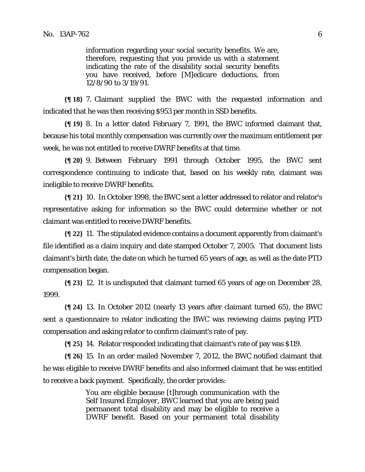information regarding your social security benefits. We are, therefore, requesting that you provide us with a statement indicating the rate of the disability social security benefits you have received, before [M]edicare deductions, from 12/8/90 to 3/19/91.

**{¶ 18}** 7. Claimant supplied the BWC with the requested information and indicated that he was then receiving \$953 per month in SSD benefits.

**{¶ 19}** 8. In a letter dated February 7, 1991, the BWC informed claimant that, because his total monthly compensation was currently over the maximum entitlement per week, he was not entitled to receive DWRF benefits at that time.

**{¶ 20}** 9. Between February 1991 through October 1995, the BWC sent correspondence continuing to indicate that, based on his weekly rate, claimant was ineligible to receive DWRF benefits.

**{¶ 21}** 10. In October 1998, the BWC sent a letter addressed to relator and relator's representative asking for information so the BWC could determine whether or not claimant was entitled to receive DWRF benefits.

**{¶ 22}** 11. The stipulated evidence contains a document apparently from claimant's file identified as a claim inquiry and date stamped October 7, 2005. That document lists claimant's birth date, the date on which he turned 65 years of age, as well as the date PTD compensation began.

**{¶ 23}** 12. It is undisputed that claimant turned 65 years of age on December 28, 1999.

**{¶ 24}** 13. In October 2012 (nearly 13 years after claimant turned 65), the BWC sent a questionnaire to relator indicating the BWC was reviewing claims paying PTD compensation and asking relator to confirm claimant's rate of pay.

**{¶ 25}** 14. Relator responded indicating that claimant's rate of pay was \$119.

**{¶ 26}** 15. In an order mailed November 7, 2012, the BWC notified claimant that he was eligible to receive DWRF benefits and also informed claimant that he was entitled to receive a back payment. Specifically, the order provides:

> You are eligible because [t]hrough communication with the Self Insured Employer, BWC learned that you are being paid permanent total disability and may be eligible to receive a DWRF benefit. Based on your permanent total disability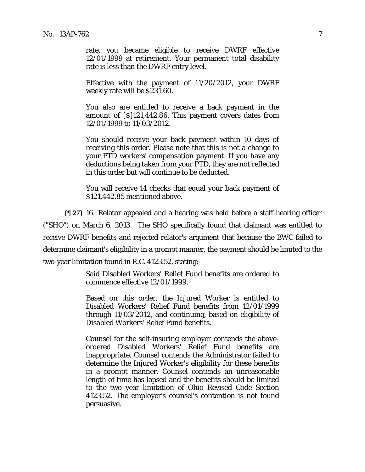rate, you became eligible to receive DWRF effective 12/01/1999 at retirement. Your permanent total disability rate is less than the DWRF entry level.

Effective with the payment of 11/20/2012, your DWRF weekly rate will be \$231.60.

You also are entitled to receive a back payment in the amount of [\$]121,442.86. This payment covers dates from 12/01/1999 to 11/03/2012.

You should receive your back payment within 10 days of receiving this order. Please note that this is not a change to your PTD workers' compensation payment. If you have any deductions being taken from your PTD, they are not reflected in this order but will continue to be deducted.

You will receive 14 checks that equal your back payment of \$121,442.85 mentioned above.

**{¶ 27}** 16. Relator appealed and a hearing was held before a staff hearing officer ("SHO") on March 6, 2013. The SHO specifically found that claimant was entitled to receive DWRF benefits and rejected relator's argument that because the BWC failed to determine claimant's eligibility in a prompt manner, the payment should be limited to the two-year limitation found in R.C. 4123.52, stating:

> Said Disabled Workers' Relief Fund benefits are ordered to commence effective 12/01/1999.

> Based on this order, the Injured Worker is entitled to Disabled Workers' Relief Fund benefits from 12/01/1999 through 11/03/2012, and continuing, based on eligibility of Disabled Workers' Relief Fund benefits.

> Counsel for the self-insuring employer contends the aboveordered Disabled Workers' Relief Fund benefits are inappropriate. Counsel contends the Administrator failed to determine the Injured Worker's eligibility for these benefits in a prompt manner. Counsel contends an unreasonable length of time has lapsed and the benefits should be limited to the two year limitation of Ohio Revised Code Section 4123.52. The employer's counsel's contention is not found persuasive.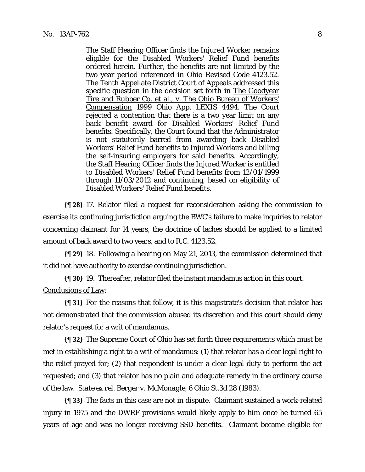The Staff Hearing Officer finds the Injured Worker remains eligible for the Disabled Workers' Relief Fund benefits ordered herein. Further, the benefits are not limited by the two year period referenced in Ohio Revised Code 4123.52. The Tenth Appellate District Court of Appeals addressed this specific question in the decision set forth in The Goodyear Tire and Rubber Co. et al., v. The Ohio Bureau of Workers' Compensation 1999 Ohio App. LEXIS 4494. The Court rejected a contention that there is a two year limit on any back benefit award for Disabled Workers' Relief Fund benefits. Specifically, the Court found that the Administrator is not statutorily barred from awarding back Disabled Workers' Relief Fund benefits to Injured Workers and billing the self-insuring employers for said benefits. Accordingly, the Staff Hearing Officer finds the Injured Worker is entitled to Disabled Workers' Relief Fund benefits from 12/01/1999 through 11/03/2012 and continuing, based on eligibility of Disabled Workers' Relief Fund benefits.

**{¶ 28}** 17. Relator filed a request for reconsideration asking the commission to exercise its continuing jurisdiction arguing the BWC's failure to make inquiries to relator concerning claimant for 14 years, the doctrine of laches should be applied to a limited amount of back award to two years, and to R.C. 4123.52.

**{¶ 29}** 18. Following a hearing on May 21, 2013, the commission determined that it did not have authority to exercise continuing jurisdiction.

**{¶ 30}** 19. Thereafter, relator filed the instant mandamus action in this court. Conclusions of Law:

**{¶ 31}** For the reasons that follow, it is this magistrate's decision that relator has not demonstrated that the commission abused its discretion and this court should deny relator's request for a writ of mandamus.

**{¶ 32}** The Supreme Court of Ohio has set forth three requirements which must be met in establishing a right to a writ of mandamus: (1) that relator has a clear legal right to the relief prayed for; (2) that respondent is under a clear legal duty to perform the act requested; and (3) that relator has no plain and adequate remedy in the ordinary course of the law. *State ex rel. Berger v. McMonagle*, 6 Ohio St.3d 28 (1983).

**{¶ 33}** The facts in this case are not in dispute. Claimant sustained a work-related injury in 1975 and the DWRF provisions would likely apply to him once he turned 65 years of age and was no longer receiving SSD benefits. Claimant became eligible for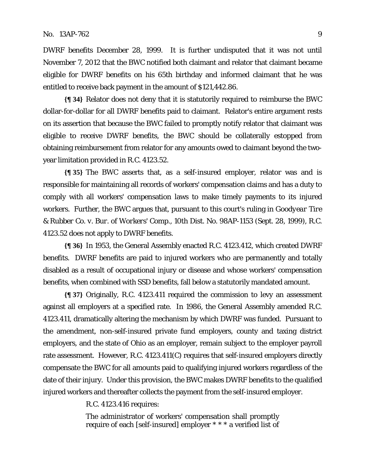DWRF benefits December 28, 1999. It is further undisputed that it was not until November 7, 2012 that the BWC notified both claimant and relator that claimant became eligible for DWRF benefits on his 65th birthday and informed claimant that he was entitled to receive back payment in the amount of \$121,442.86.

**{¶ 34}** Relator does not deny that it is statutorily required to reimburse the BWC dollar-for-dollar for all DWRF benefits paid to claimant. Relator's entire argument rests on its assertion that because the BWC failed to promptly notify relator that claimant was eligible to receive DWRF benefits, the BWC should be collaterally estopped from obtaining reimbursement from relator for any amounts owed to claimant beyond the twoyear limitation provided in R.C. 4123.52.

**{¶ 35}** The BWC asserts that, as a self-insured employer, relator was and is responsible for maintaining all records of workers' compensation claims and has a duty to comply with all workers' compensation laws to make timely payments to its injured workers. Further, the BWC argues that, pursuant to this court's ruling in *Goodyear Tire & Rubber Co. v. Bur. of Workers' Comp.,* 10th Dist. No. 98AP-1153 (Sept. 28, 1999), R.C. 4123.52 does not apply to DWRF benefits.

**{¶ 36}** In 1953, the General Assembly enacted R.C. 4123.412, which created DWRF benefits. DWRF benefits are paid to injured workers who are permanently and totally disabled as a result of occupational injury or disease and whose workers' compensation benefits, when combined with SSD benefits, fall below a statutorily mandated amount.

**{¶ 37}** Originally, R.C. 4123.411 required the commission to levy an assessment against all employers at a specified rate. In 1986, the General Assembly amended R.C. 4123.411, dramatically altering the mechanism by which DWRF was funded. Pursuant to the amendment, non-self-insured private fund employers, county and taxing district employers, and the state of Ohio as an employer, remain subject to the employer payroll rate assessment. However, R.C. 4123.411(C) requires that self-insured employers directly compensate the BWC for all amounts paid to qualifying injured workers regardless of the date of their injury. Under this provision, the BWC makes DWRF benefits to the qualified injured workers and thereafter collects the payment from the self-insured employer.

R.C. 4123.416 requires:

The administrator of workers' compensation shall promptly require of each [self-insured] employer \* \* \* a verified list of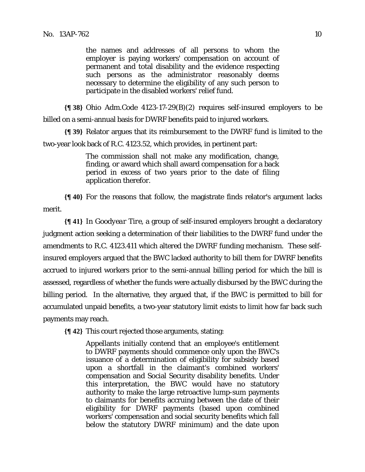the names and addresses of all persons to whom the employer is paying workers' compensation on account of permanent and total disability and the evidence respecting such persons as the administrator reasonably deems necessary to determine the eligibility of any such person to participate in the disabled workers' relief fund.

**{¶ 38}** Ohio Adm.Code 4123-17-29(B)(2) requires self-insured employers to be billed on a semi-annual basis for DWRF benefits paid to injured workers.

**{¶ 39}** Relator argues that its reimbursement to the DWRF fund is limited to the two-year look back of R.C. 4123.52, which provides, in pertinent part:

> The commission shall not make any modification, change, finding, or award which shall award compensation for a back period in excess of two years prior to the date of filing application therefor.

**{¶ 40}** For the reasons that follow, the magistrate finds relator's argument lacks merit.

**{¶ 41}** In *Goodyear Tire,* a group of self-insured employers brought a declaratory judgment action seeking a determination of their liabilities to the DWRF fund under the amendments to R.C. 4123.411 which altered the DWRF funding mechanism. These selfinsured employers argued that the BWC lacked authority to bill them for DWRF benefits accrued to injured workers prior to the semi-annual billing period for which the bill is assessed, regardless of whether the funds were actually disbursed by the BWC during the billing period. In the alternative, they argued that, if the BWC is permitted to bill for accumulated unpaid benefits, a two-year statutory limit exists to limit how far back such payments may reach.

**{¶ 42}** This court rejected those arguments, stating:

Appellants initially contend that an employee's entitlement to DWRF payments should commence only upon the BWC's issuance of a determination of eligibility for subsidy based upon a shortfall in the claimant's combined workers' compensation and Social Security disability benefits. Under this interpretation, the BWC would have no statutory authority to make the large retroactive lump-sum payments to claimants for benefits accruing between the date of their eligibility for DWRF payments (based upon combined workers' compensation and social security benefits which fall below the statutory DWRF minimum) and the date upon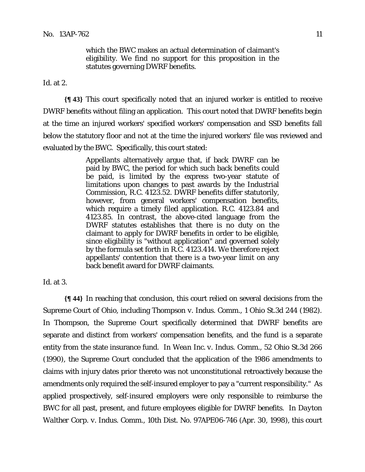which the BWC makes an actual determination of claimant's eligibility. We find no support for this proposition in the statutes governing DWRF benefits.

*Id.* at 2.

**{¶ 43}** This court specifically noted that an injured worker is entitled to receive DWRF benefits without filing an application. This court noted that DWRF benefits begin at the time an injured workers' specified workers' compensation and SSD benefits fall below the statutory floor and not at the time the injured workers' file was reviewed and evaluated by the BWC. Specifically, this court stated:

> Appellants alternatively argue that, if back DWRF can be paid by BWC, the period for which such back benefits could be paid, is limited by the express two-year statute of limitations upon changes to past awards by the Industrial Commission, R.C. 4123.52. DWRF benefits differ statutorily, however, from general workers' compensation benefits, which require a timely filed application. R.C. 4123.84 and 4123.85. In contrast, the above-cited language from the DWRF statutes establishes that there is no duty on the claimant to apply for DWRF benefits in order to be eligible, since eligibility is "without application" and governed solely by the formula set forth in R.C. 4123.414. We therefore reject appellants' contention that there is a two-year limit on any back benefit award for DWRF claimants.

*Id.* at 3.

**{¶ 44}** In reaching that conclusion, this court relied on several decisions from the Supreme Court of Ohio, including *Thompson v. Indus. Comm.,* 1 Ohio St.3d 244 (1982). In *Thompson,* the Supreme Court specifically determined that DWRF benefits are separate and distinct from workers' compensation benefits, and the fund is a separate entity from the state insurance fund. In *Wean Inc. v. Indus. Comm.,* 52 Ohio St.3d 266 (1990), the Supreme Court concluded that the application of the 1986 amendments to claims with injury dates prior thereto was not unconstitutional retroactively because the amendments only required the self-insured employer to pay a "current responsibility." As applied prospectively, self-insured employers were only responsible to reimburse the BWC for all past, present, and future employees eligible for DWRF benefits. In *Dayton Walther Corp. v. Indus. Comm.,* 10th Dist. No. 97APE06-746 (Apr. 30, 1998), this court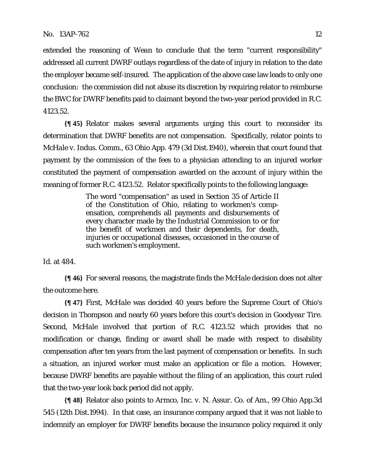extended the reasoning of *Wean* to conclude that the term "current responsibility" addressed all current DWRF outlays regardless of the date of injury in relation to the date the employer became self-insured. The application of the above case law leads to only one conclusion: the commission did not abuse its discretion by requiring relator to reimburse the BWC for DWRF benefits paid to claimant beyond the two-year period provided in R.C. 4123.52.

**{¶ 45}** Relator makes several arguments urging this court to reconsider its determination that DWRF benefits are not compensation. Specifically, relator points to *McHale v. Indus. Comm.,* 63 Ohio App. 479 (3d Dist.1940), wherein that court found that payment by the commission of the fees to a physician attending to an injured worker constituted the payment of compensation awarded on the account of injury within the meaning of former R.C. 4123.52. Relator specifically points to the following language:

> The word "compensation" as used in Section 35 of Article II of the Constitution of Ohio, relating to workmen's compensation, comprehends all payments and disbursements of every character made by the Industrial Commission to or for the benefit of workmen and their dependents, for death, injuries or occupational diseases, occasioned in the course of such workmen's employment.

*Id.* at 484.

**{¶ 46}** For several reasons, the magistrate finds the *McHale* decision does not alter the outcome here.

**{¶ 47}** First, *McHale* was decided 40 years before the Supreme Court of Ohio's decision in *Thompson* and nearly 60 years before this court's decision in *Goodyear Tire*. Second, *McHale* involved that portion of R.C. 4123.52 which provides that no modification or change, finding or award shall be made with respect to disability compensation after ten years from the last payment of compensation or benefits. In such a situation, an injured worker must make an application or file a motion. However, because DWRF benefits are payable without the filing of an application, this court ruled that the two-year look back period did not apply.

**{¶ 48}** Relator also points to *Armco, Inc. v. N. Assur. Co. of Am.,* 99 Ohio App.3d 545 (12th Dist.1994).In that case, an insurance company argued that it was not liable to indemnify an employer for DWRF benefits because the insurance policy required it only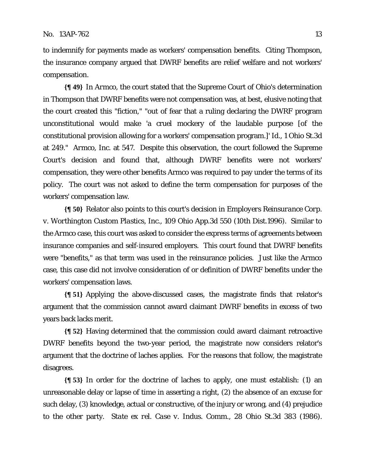to indemnify for payments made as workers' compensation benefits. Citing *Thompson,*  the insurance company argued that DWRF benefits are relief welfare and not workers' compensation.

**{¶ 49}** In *Armco,* the court stated that the Supreme Court of Ohio's determination in *Thompson* that DWRF benefits were not compensation was, at best, elusive noting that the court created this "fiction," "out of fear that a ruling declaring the DWRF program unconstitutional would make 'a cruel mockery of the laudable purpose [of the constitutional provision allowing for a workers' compensation program.]' *Id.,* 1 Ohio St.3d at 249." *Armco, Inc*. at 547. Despite this observation, the court followed the Supreme Court's decision and found that, although DWRF benefits were not workers' compensation, they were other benefits Armco was required to pay under the terms of its policy. The court was not asked to define the term compensation for purposes of the workers' compensation law.

**{¶ 50}** Relator also points to this court's decision in *Employers Reinsurance Corp. v. Worthington Custom Plastics, Inc.,* 109 Ohio App.3d 550 (10th Dist.1996). Similar to the *Armco* case, this court was asked to consider the express terms of agreements between insurance companies and self-insured employers. This court found that DWRF benefits were "benefits," as that term was used in the reinsurance policies. Just like the *Armco* case, this case did not involve consideration of or definition of DWRF benefits under the workers' compensation laws.

**{¶ 51}** Applying the above-discussed cases, the magistrate finds that relator's argument that the commission cannot award claimant DWRF benefits in excess of two years back lacks merit.

**{¶ 52}** Having determined that the commission could award claimant retroactive DWRF benefits beyond the two-year period, the magistrate now considers relator's argument that the doctrine of laches applies. For the reasons that follow, the magistrate disagrees.

**{¶ 53}** In order for the doctrine of laches to apply, one must establish: (1) an unreasonable delay or lapse of time in asserting a right, (2) the absence of an excuse for such delay, (3) knowledge, actual or constructive, of the injury or wrong, and (4) prejudice to the other party. *State ex rel. Case v. Indus. Comm.,* 28 Ohio St.3d 383 (1986).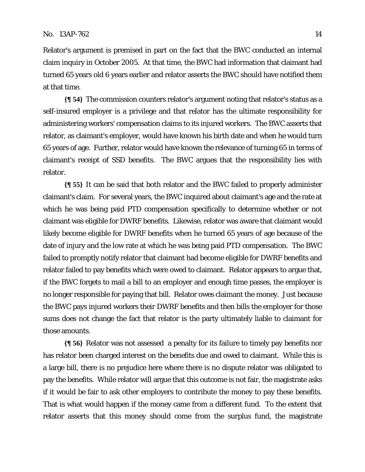Relator's argument is premised in part on the fact that the BWC conducted an internal claim inquiry in October 2005. At that time, the BWC had information that claimant had turned 65 years old 6 years earlier and relator asserts the BWC should have notified them at that time.

**{¶ 54}** The commission counters relator's argument noting that relator's status as a self-insured employer is a privilege and that relator has the ultimate responsibility for administering workers' compensation claims to its injured workers. The BWC asserts that relator, as claimant's employer, would have known his birth date and when he would turn 65 years of age. Further, relator would have known the relevance of turning 65 in terms of claimant's receipt of SSD benefits. The BWC argues that the responsibility lies with relator.

**{¶ 55}** It can be said that both relator and the BWC failed to properly administer claimant's claim. For several years, the BWC inquired about claimant's age and the rate at which he was being paid PTD compensation specifically to determine whether or not claimant was eligible for DWRF benefits. Likewise, relator was aware that claimant would likely become eligible for DWRF benefits when he turned 65 years of age because of the date of injury and the low rate at which he was being paid PTD compensation. The BWC failed to promptly notify relator that claimant had become eligible for DWRF benefits and relator failed to pay benefits which were owed to claimant. Relator appears to argue that, if the BWC forgets to mail a bill to an employer and enough time passes, the employer is no longer responsible for paying that bill. Relator owes claimant the money. Just because the BWC pays injured workers their DWRF benefits and then bills the employer for those sums does not change the fact that relator is the party ultimately liable to claimant for those amounts.

**{¶ 56}** Relator was not assessed a penalty for its failure to timely pay benefits nor has relator been charged interest on the benefits due and owed to claimant. While this is a large bill, there is no prejudice here where there is no dispute relator was obligated to pay the benefits. While relator will argue that this outcome is not fair, the magistrate asks if it would be fair to ask other employers to contribute the money to pay these benefits. That is what would happen if the money came from a different fund. To the extent that relator asserts that this money should come from the surplus fund, the magistrate